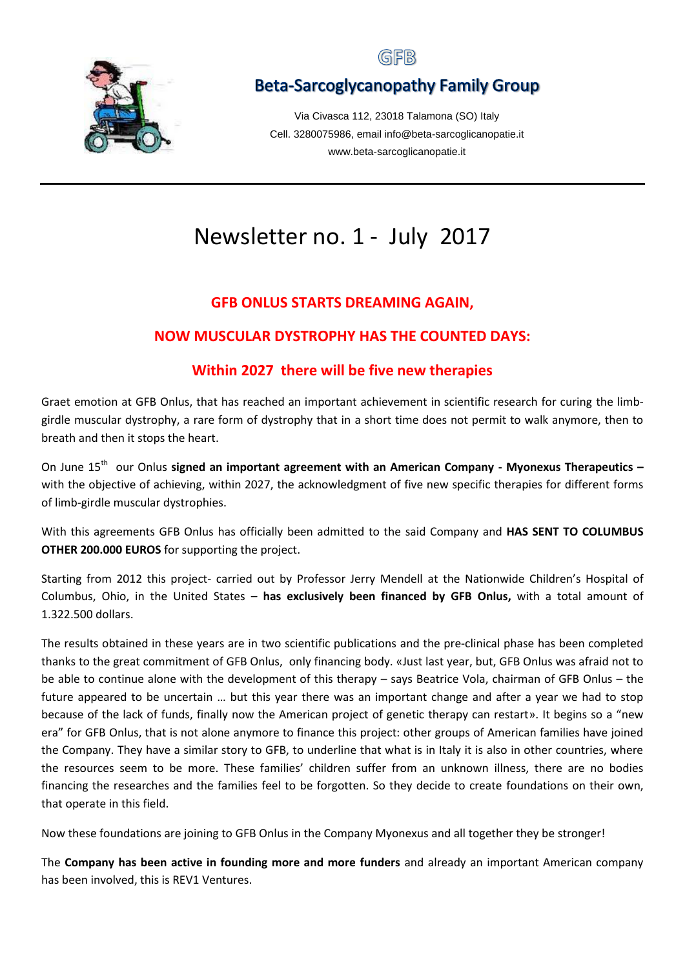

## GFB

# **Beta-Sarcoglycanopathy Family Group**

Via Civasca 112, 23018 Talamona (SO) Italy Cell. 3280075986, email info@beta-sarcoglicanopatie.it www.beta-sarcoglicanopatie.it

# Newsletter no. 1 - July 2017

#### **GFB ONLUS STARTS DREAMING AGAIN,**

#### **NOW MUSCULAR DYSTROPHY HAS THE COUNTED DAYS:**

#### **Within 2027 there will be five new therapies**

Graet emotion at GFB Onlus, that has reached an important achievement in scientific research for curing the limbgirdle muscular dystrophy, a rare form of dystrophy that in a short time does not permit to walk anymore, then to breath and then it stops the heart.

On June 15<sup>th</sup> our Onlus signed an important agreement with an American Company - Myonexus Therapeutics with the objective of achieving, within 2027, the acknowledgment of five new specific therapies for different forms of limb-girdle muscular dystrophies.

With this agreements GFB Onlus has officially been admitted to the said Company and **HAS SENT TO COLUMBUS OTHER 200.000 EUROS** for supporting the project.

Starting from 2012 this project- carried out by Professor Jerry Mendell at the Nationwide Children's Hospital of Columbus, Ohio, in the United States – **has exclusively been financed by GFB Onlus,** with a total amount of 1.322.500 dollars.

The results obtained in these years are in two scientific publications and the pre-clinical phase has been completed thanks to the great commitment of GFB Onlus, only financing body. «Just last year, but, GFB Onlus was afraid not to be able to continue alone with the development of this therapy – says Beatrice Vola, chairman of GFB Onlus – the future appeared to be uncertain … but this year there was an important change and after a year we had to stop because of the lack of funds, finally now the American project of genetic therapy can restart». It begins so a "new era" for GFB Onlus, that is not alone anymore to finance this project: other groups of American families have joined the Company. They have a similar story to GFB, to underline that what is in Italy it is also in other countries, where the resources seem to be more. These families' children suffer from an unknown illness, there are no bodies financing the researches and the families feel to be forgotten. So they decide to create foundations on their own, that operate in this field.

Now these foundations are joining to GFB Onlus in the Company Myonexus and all together they be stronger!

The **Company has been active in founding more and more funders** and already an important American company has been involved, this is REV1 Ventures.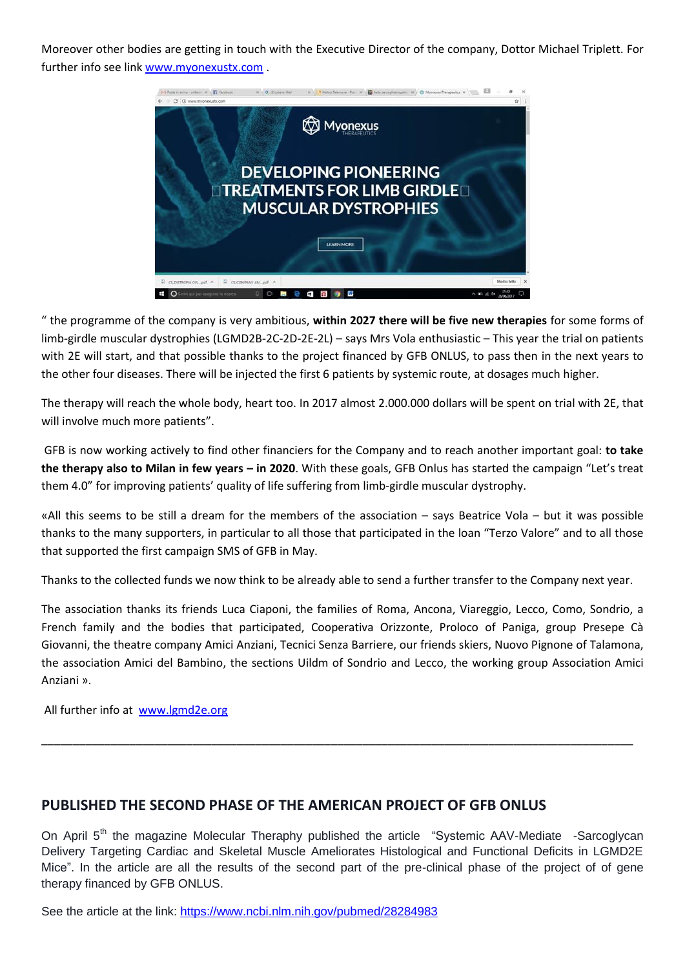Moreover other bodies are getting in touch with the Executive Director of the company, Dottor Michael Triplett. For further info see link [www.myonexustx.com](http://www.myonexustx.com/).



" the programme of the company is very ambitious, **within 2027 there will be five new therapies** for some forms of limb-girdle muscular dystrophies (LGMD2B-2C-2D-2E-2L) – says Mrs Vola enthusiastic – This year the trial on patients with 2E will start, and that possible thanks to the project financed by GFB ONLUS, to pass then in the next years to the other four diseases. There will be injected the first 6 patients by systemic route, at dosages much higher.

The therapy will reach the whole body, heart too. In 2017 almost 2.000.000 dollars will be spent on trial with 2E, that will involve much more patients".

GFB is now working actively to find other financiers for the Company and to reach another important goal: **to take the therapy also to Milan in few years – in 2020**. With these goals, GFB Onlus has started the campaign "Let's treat them 4.0" for improving patients' quality of life suffering from limb-girdle muscular dystrophy.

«All this seems to be still a dream for the members of the association – says Beatrice Vola – but it was possible thanks to the many supporters, in particular to all those that participated in the loan "Terzo Valore" and to all those that supported the first campaign SMS of GFB in May.

Thanks to the collected funds we now think to be already able to send a further transfer to the Company next year.

The association thanks its friends Luca Ciaponi, the families of Roma, Ancona, Viareggio, Lecco, Como, Sondrio, a French family and the bodies that participated, Cooperativa Orizzonte, Proloco of Paniga, group Presepe Cà Giovanni, the theatre company Amici Anziani, Tecnici Senza Barriere, our friends skiers, Nuovo Pignone of Talamona, the association Amici del Bambino, the sections Uildm of Sondrio and Lecco, the working group Association Amici Anziani ».

\_\_\_\_\_\_\_\_\_\_\_\_\_\_\_\_\_\_\_\_\_\_\_\_\_\_\_\_\_\_\_\_\_\_\_\_\_\_\_\_\_\_\_\_\_\_\_\_\_\_\_\_\_\_\_\_\_\_\_\_\_\_\_\_\_\_\_\_\_\_\_\_\_\_\_\_\_\_\_\_\_\_\_\_\_\_\_\_\_\_\_\_\_\_

All further info at [www.lgmd2e.org](http://www.lgmd2e.org/)

#### **PUBLISHED THE SECOND PHASE OF THE AMERICAN PROJECT OF GFB ONLUS**

On April 5<sup>th</sup> the magazine Molecular Theraphy published the article "Systemic AAV-Mediate -Sarcoglycan Delivery Targeting Cardiac and Skeletal Muscle Ameliorates Histological and Functional Deficits in LGMD2E Mice". In the article are all the results of the second part of the pre-clinical phase of the project of of gene therapy financed by GFB ONLUS.

See the article at the link:<https://www.ncbi.nlm.nih.gov/pubmed/28284983>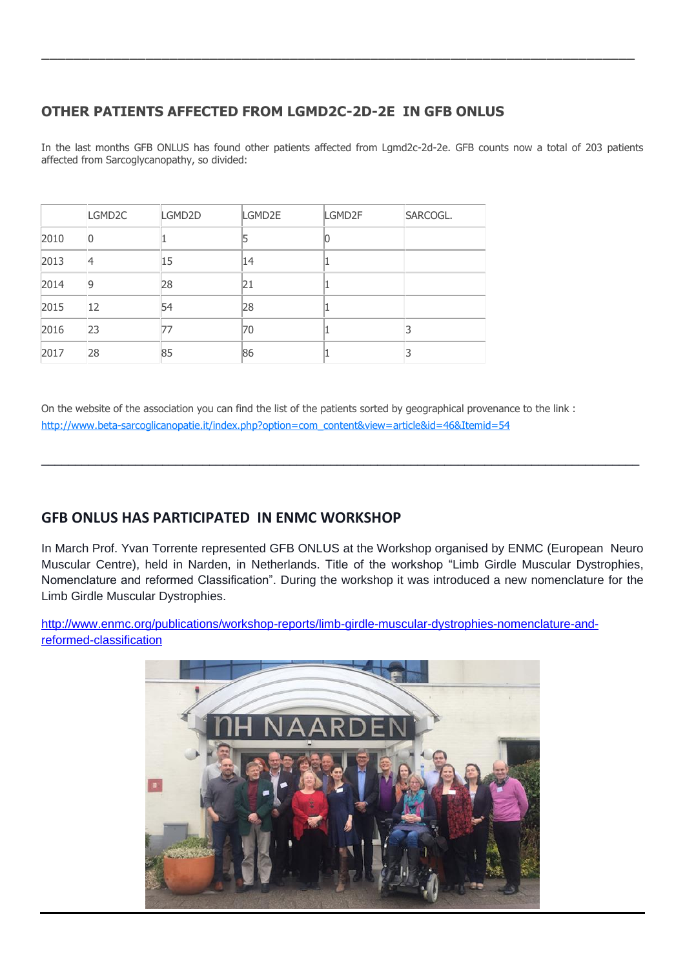### **OTHER PATIENTS AFFECTED FROM LGMD2C-2D-2E IN GFB ONLUS**

In the last months GFB ONLUS has found other patients affected from Lgmd2c-2d-2e. GFB counts now a total of 203 patients affected from Sarcoglycanopathy, so divided:

\_\_\_\_\_\_\_\_\_\_\_\_\_\_\_\_\_\_\_\_\_\_\_\_\_\_\_\_\_\_\_\_\_\_\_\_\_\_\_\_\_\_\_\_\_\_\_\_\_\_\_\_\_\_\_\_\_\_\_\_\_\_\_\_\_\_\_\_\_\_\_\_\_\_

|      | LGMD <sub>2C</sub> | LGMD2D | LGMD2E | LGMD2F | SARCOGL. |
|------|--------------------|--------|--------|--------|----------|
| 2010 | 0                  |        |        |        |          |
| 2013 | 4                  | 15     | 14     |        |          |
| 2014 | 9                  | 28     | 21     |        |          |
| 2015 | 12                 | 54     | 28     |        |          |
| 2016 | 23                 | 77     | 70     |        |          |
| 2017 | 28                 | 85     | 86     |        |          |

On the website of the association you can find the list of the patients sorted by geographical provenance to the link : [http://www.beta-sarcoglicanopatie.it/index.php?option=com\\_content&view=article&id=46&Itemid=54](http://www.beta-sarcoglicanopatie.it/index.php?option=com_content&view=article&id=46&Itemid=54)

#### **GFB ONLUS HAS PARTICIPATED IN ENMC WORKSHOP**

In March Prof. Yvan Torrente represented GFB ONLUS at the Workshop organised by ENMC (European Neuro Muscular Centre), held in Narden, in Netherlands. Title of the workshop "Limb Girdle Muscular Dystrophies, Nomenclature and reformed Classification". During the workshop it was introduced a new nomenclature for the Limb Girdle Muscular Dystrophies.

 $\_$  , and the set of the set of the set of the set of the set of the set of the set of the set of the set of the set of the set of the set of the set of the set of the set of the set of the set of the set of the set of th

[http://www.enmc.org/publications/workshop-reports/limb-girdle-muscular-dystrophies-nomenclature-and](http://www.enmc.org/publications/workshop-reports/limb-girdle-muscular-dystrophies-nomenclature-and-reformed-classification)[reformed-classification](http://www.enmc.org/publications/workshop-reports/limb-girdle-muscular-dystrophies-nomenclature-and-reformed-classification)

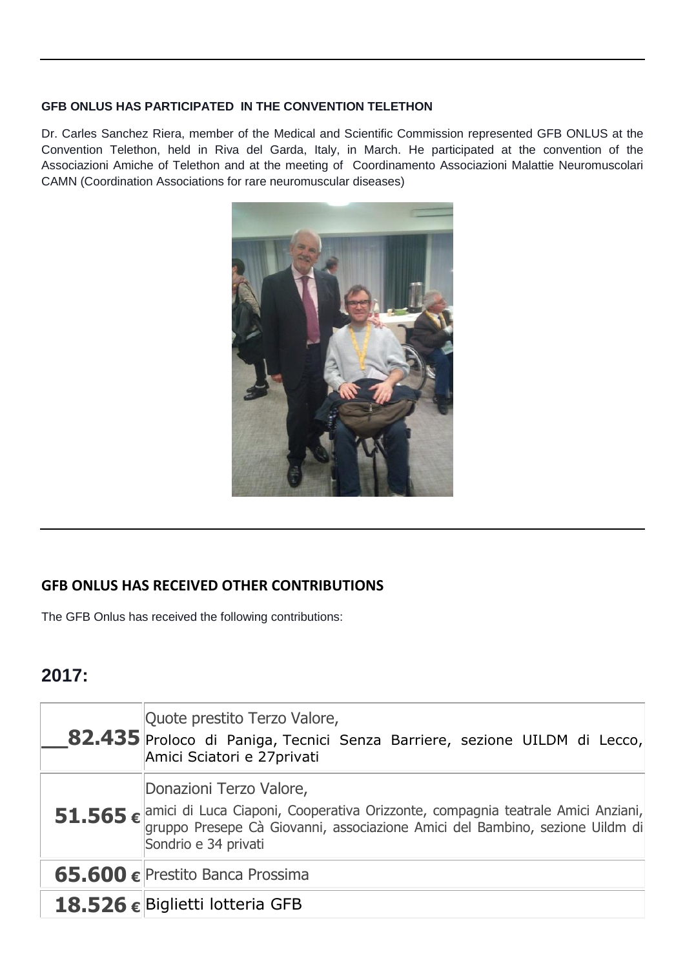#### **GFB ONLUS HAS PARTICIPATED IN THE CONVENTION TELETHON**

Dr. Carles Sanchez Riera, member of the Medical and Scientific Commission represented GFB ONLUS at the Convention Telethon, held in Riva del Garda, Italy, in March. He participated at the convention of the Associazioni Amiche of Telethon and at the meeting of Coordinamento Associazioni Malattie Neuromuscolari CAMN (Coordination Associations for rare neuromuscular diseases)



#### **GFB ONLUS HAS RECEIVED OTHER CONTRIBUTIONS**

The GFB Onlus has received the following contributions:

# **2017:**

| Quote prestito Terzo Valore,<br>82.435 Proloco di Paniga, Tecnici Senza Barriere, sezione UILDM di Lecco,<br>Amici Sciatori e 27 privati                                                                                                     |
|----------------------------------------------------------------------------------------------------------------------------------------------------------------------------------------------------------------------------------------------|
| Donazioni Terzo Valore,<br>51.565 $\epsilon$ <sup>amici</sup> di Luca Ciaponi, Cooperativa Orizzonte, compagnia teatrale Amici Anziani, gruppo Presepe Cà Giovanni, associazione Amici del Bambino, sezione Uildm di<br>Sondrio e 34 privati |
| 65.600 € Prestito Banca Prossima                                                                                                                                                                                                             |
| 18.526 € Biglietti lotteria GFB                                                                                                                                                                                                              |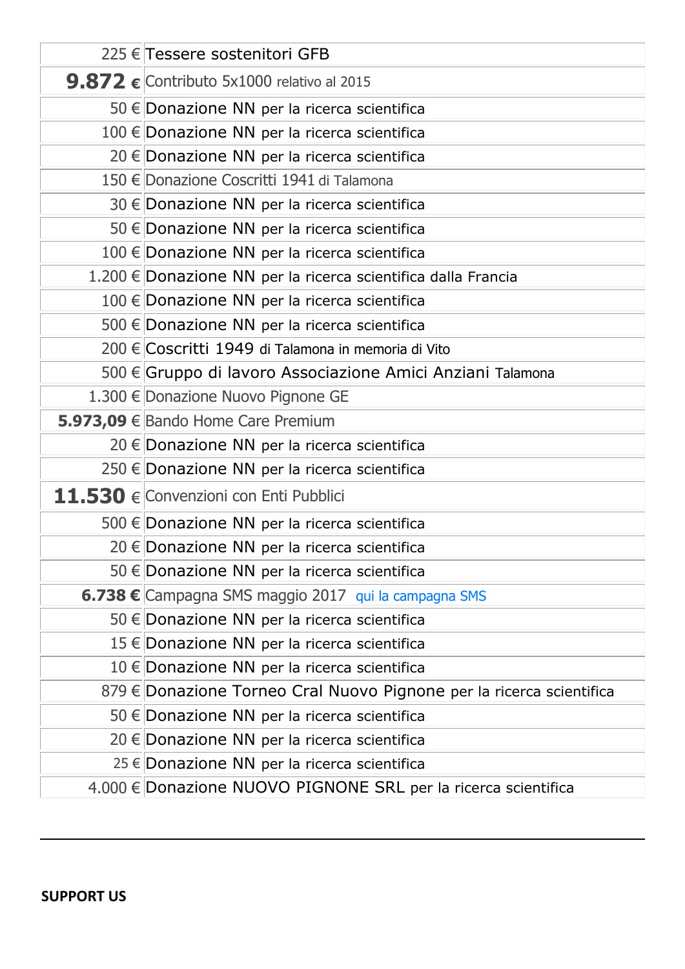| 225 € Tessere sostenitori GFB                                        |
|----------------------------------------------------------------------|
| 9.872 $\epsilon$ Contributo 5x1000 relativo al 2015                  |
| 50 € Donazione NN per la ricerca scientifica                         |
| 100 € Donazione NN per la ricerca scientifica                        |
| 20 € Donazione NN per la ricerca scientifica                         |
| 150 € Donazione Coscritti 1941 di Talamona                           |
| 30 € Donazione NN per la ricerca scientifica                         |
| 50 € Donazione NN per la ricerca scientifica                         |
| 100 € Donazione NN per la ricerca scientifica                        |
| 1.200 € Donazione NN per la ricerca scientifica dalla Francia        |
| 100 € Donazione NN per la ricerca scientifica                        |
| 500 € Donazione NN per la ricerca scientifica                        |
| 200 € Coscritti 1949 di Talamona in memoria di Vito                  |
| 500 € Gruppo di lavoro Associazione Amici Anziani Talamona           |
| 1.300 € Donazione Nuovo Pignone GE                                   |
| 5.973,09 € Bando Home Care Premium                                   |
| 20 € Donazione NN per la ricerca scientifica                         |
| 250 € Donazione NN per la ricerca scientifica                        |
| 11.530 € Convenzioni con Enti Pubblici                               |
| 500 € Donazione NN per la ricerca scientifica                        |
| 20 € Donazione NN per la ricerca scientifica                         |
| 50 € Donazione NN per la ricerca scientifica                         |
| 6.738 € Campagna SMS maggio 2017 qui la campagna SMS                 |
| 50 € Donazione NN per la ricerca scientifica                         |
| 15 € Donazione NN per la ricerca scientifica                         |
| 10 € Donazione NN per la ricerca scientifica                         |
| 879 € Donazione Torneo Cral Nuovo Pignone per la ricerca scientifica |
| 50 € Donazione NN per la ricerca scientifica                         |
| 20 € Donazione NN per la ricerca scientifica                         |
| 25 € Donazione NN per la ricerca scientifica                         |
| 4.000 € Donazione NUOVO PIGNONE SRL per la ricerca scientifica       |